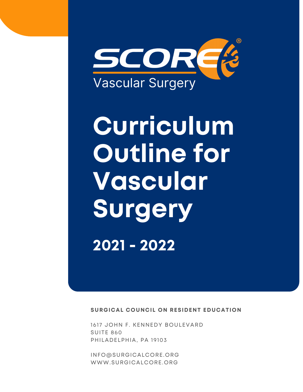

# **Curriculum Outline for Vascular Surgery 2021 - 2022**

**SURGICAL COUNCIL ON RESIDENT EDUCATION**

1617 JOHN F. KENNEDY BOULEVARD SUITE 860 PHILADELPHIA, PA 19103

[INFO@SURGICALCORE.ORG](mailto:info@surgicalcore.org) [WWW.SURGICALCORE.ORG](http://www.surgicalcore.org/)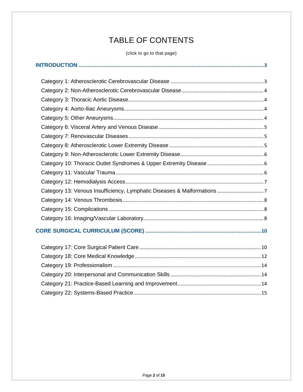# TABLE OF CONTENTS

(click to go to that page)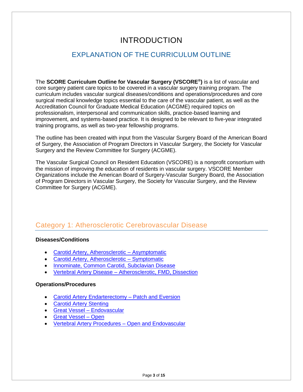## INTRODUCTION

## <span id="page-2-0"></span>EXPLANATION OF THE CURRICULUM OUTLINE

The **SCORE Curriculum Outline for Vascular Surgery (VSCORE® )** is a list of vascular and core surgery patient care topics to be covered in a vascular surgery training program. The curriculum includes vascular surgical diseases/conditions and operations/procedures and core surgical medical knowledge topics essential to the care of the vascular patient, as well as the Accreditation Council for Graduate Medical Education (ACGME) required topics on professionalism, interpersonal and communication skills, practice-based learning and improvement, and systems-based practice. It is designed to be relevant to five-year integrated training programs, as well as two-year fellowship programs.

The outline has been created with input from the Vascular Surgery Board of the American Board of Surgery, the Association of Program Directors in Vascular Surgery, the Society for Vascular Surgery and the Review Committee for Surgery (ACGME).

The Vascular Surgical Council on Resident Education (VSCORE) is a nonprofit consortium with the mission of improving the education of residents in vascular surgery. VSCORE Member Organizations include the American Board of Surgery-Vascular Surgery Board, the Association of Program Directors in Vascular Surgery, the Society for Vascular Surgery, and the Review Committee for Surgery (ACGME).

## <span id="page-2-1"></span>Category 1: Atherosclerotic Cerebrovascular Disease

#### **Diseases/Conditions**

- [Carotid Artery, Atherosclerotic –](http://www.surgicalcore.org/modulecontent.aspx?id=1000196) Asymptomatic
- [Carotid Artery, Atherosclerotic –](http://www.surgicalcore.org/modulecontent.aspx?id=1000207) Symptomatic
- [Innominate, Common Carotid, Subclavian Disease](http://www.surgicalcore.org/modulecontent.aspx?id=1000245)
- Vertebral Artery Disease [Atherosclerotic, FMD, Dissection](http://www.surgicalcore.org/modulecontent.aspx?id=1000238)

#### **Operations/Procedures**

- [Carotid Artery Endarterectomy –](http://www.surgicalcore.org/modulecontent.aspx?id=1000315) Patch and Eversion
- **[Carotid Artery Stenting](http://www.surgicalcore.org/modulecontent.aspx?id=1000217)**
- [Great Vessel –](http://www.surgicalcore.org/modulecontent.aspx?id=1000661) Endovascular
- [Great Vessel –](http://www.surgicalcore.org/modulecontent.aspx?id=1000769) Open
- [Vertebral Artery Procedures –](http://www.surgicalcore.org/modulecontent.aspx?id=1000671) Open and Endovascular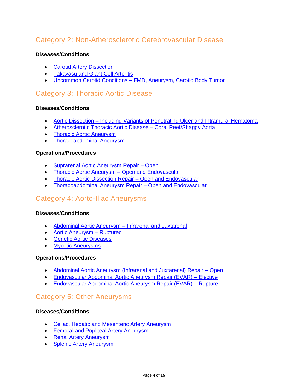## <span id="page-3-0"></span>Category 2: Non-Atherosclerotic Cerebrovascular Disease

#### **Diseases/Conditions**

- [Carotid Artery Dissection](http://www.surgicalcore.org/modulecontent.aspx?id=1000231)
- [Takayasu and Giant Cell Arteritis](http://www.surgicalcore.org/modulecontent.aspx?id=1000673)
- Uncommon Carotid Conditions [FMD, Aneurysm, Carotid Body Tumor](http://www.surgicalcore.org/modulecontent.aspx?id=1000229)

## <span id="page-3-1"></span>Category 3: Thoracic Aortic Disease

#### **Diseases/Conditions**

- Aortic Dissection [Including Variants of Penetrating Ulcer and Intramural Hematoma](http://www.surgicalcore.org/modulecontent.aspx?id=1000220)
- [Atherosclerotic Thoracic Aortic Disease –](http://www.surgicalcore.org/modulecontent.aspx?id=1000694) Coral Reef/Shaggy Aorta
- [Thoracic Aortic Aneurysm](http://www.surgicalcore.org/modulecontent.aspx?id=1000235)
- [Thoracoabdominal Aneurysm](http://www.surgicalcore.org/modulecontent.aspx?id=1000226)

#### **Operations/Procedures**

- [Suprarenal Aortic Aneurysm Repair –](http://www.surgicalcore.org/modulecontent.aspx?id=1000240) Open
- [Thoracic Aortic Aneurysm –](http://www.surgicalcore.org/modulecontent.aspx?id=1000693) Open and Endovascular
- [Thoracic Aortic Dissection Repair –](http://www.surgicalcore.org/modulecontent.aspx?id=1000695) Open and Endovascular
- [Thoracoabdominal Aneurysm Repair –](http://www.surgicalcore.org/modulecontent.aspx?id=1000681) Open and Endovascular

## <span id="page-3-2"></span>Category 4: Aorto-Iliac Aneurysms

#### **Diseases/Conditions**

- [Abdominal Aortic Aneurysm –](http://www.surgicalcore.org/modulecontent.aspx?id=1000426) Infrarenal and Juxtarenal
- [Aortic Aneurysm –](http://www.surgicalcore.org/modulecontent.aspx?id=1000188) Ruptured
- [Genetic Aortic Diseases](http://www.surgicalcore.org/modulecontent.aspx?id=1000318)
- [Mycotic Aneurysms](http://www.surgicalcore.org/modulecontent.aspx?id=1000230)

#### **Operations/Procedures**

- [Abdominal Aortic Aneurysm \(Infrarenal and Juxtarenal\) Repair –](http://www.surgicalcore.org/modulecontent.aspx?id=1000189) Open
- [Endovascular Abdominal Aortic Aneurysm Repair \(EVAR\) –](http://www.surgicalcore.org/modulecontent.aspx?id=1000316) Elective
- [Endovascular Abdominal Aortic Aneurysm Repair \(EVAR\) –](http://www.surgicalcore.org/modulecontent.aspx?id=1000317) Rupture

## <span id="page-3-3"></span>Category 5: Other Aneurysms

#### **Diseases/Conditions**

- [Celiac, Hepatic and Mesenteric Artery Aneurysm](http://www.surgicalcore.org/modulecontent.aspx?id=1000664)
- [Femoral and Popliteal Artery Aneurysm](http://www.surgicalcore.org/modulecontent.aspx?id=1000159)
- [Renal Artery Aneurysm](http://www.surgicalcore.org/modulecontent.aspx?id=1000224)
- [Splenic Artery Aneurysm](http://www.surgicalcore.org/modulecontent.aspx?id=1000662)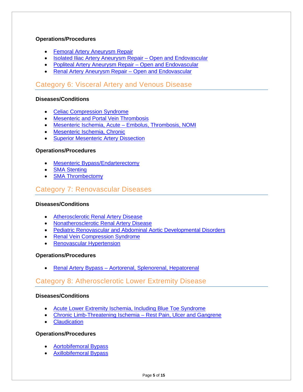#### **Operations/Procedures**

- [Femoral Artery Aneurysm Repair](http://www.surgicalcore.org/modulecontent.aspx?id=1000683)
- [Isolated Iliac Artery Aneurysm Repair –](http://www.surgicalcore.org/modulecontent.aspx?id=1000435) Open and Endovascular
- [Popliteal Artery Aneurysm Repair –](http://www.surgicalcore.org/modulecontent.aspx?id=1000239) Open and Endovascular
- [Renal Artery Aneurysm Repair –](http://www.surgicalcore.org/modulecontent.aspx?id=1000652) Open and Endovascular

## <span id="page-4-0"></span>Category 6: Visceral Artery and Venous Disease

#### **Diseases/Conditions**

- [Celiac Compression Syndrome](http://www.surgicalcore.org/modulecontent.aspx?id=1000674)
- [Mesenteric and Portal Vein Thrombosis](http://www.surgicalcore.org/modulecontent.aspx?id=1000668)
- [Mesenteric Ischemia, Acute –](http://www.surgicalcore.org/modulecontent.aspx?id=1000156) Embolus, Thrombosis, NOMI
- [Mesenteric Ischemia, Chronic](http://www.surgicalcore.org/modulecontent.aspx?id=1000232)
- **[Superior Mesenteric Artery Dissection](http://www.surgicalcore.org/modulecontent.aspx?id=1000428)**

#### **Operations/Procedures**

- [Mesenteric Bypass/Endarterectomy](http://www.surgicalcore.org/modulecontent.aspx?id=1000436)
- [SMA Stenting](http://www.surgicalcore.org/modulecontent.aspx?id=1000430)
- **[SMA Thrombectomy](http://www.surgicalcore.org/modulecontent.aspx?id=1000431)**

### <span id="page-4-1"></span>Category 7: Renovascular Diseases

#### **Diseases/Conditions**

- [Atherosclerotic Renal Artery Disease](http://www.surgicalcore.org/modulecontent.aspx?id=1000684)
- [Nonatherosclerotic Renal Artery Disease](http://www.surgicalcore.org/modulecontent.aspx?id=1000645)
- [Pediatric Renovascular and Abdominal Aortic Developmental Disorders](http://www.surgicalcore.org/modulecontent.aspx?id=1000233)
- [Renal Vein Compression Syndrome](http://www.surgicalcore.org/modulecontent.aspx?id=1000639)
- [Renovascular Hypertension](http://www.surgicalcore.org/modulecontent.aspx?id=1000244)

#### **Operations/Procedures**

• Renal Artery Bypass – [Aortorenal, Splenorenal, Hepatorenal](http://www.surgicalcore.org/modulecontent.aspx?id=1000667)

## <span id="page-4-2"></span>Category 8: Atherosclerotic Lower Extremity Disease

#### **Diseases/Conditions**

- [Acute Lower Extremity Ischemia, Including Blue Toe Syndrome](http://www.surgicalcore.org/modulecontent.aspx?id=1000155)
- [Chronic Limb-Threatening Ischemia](http://www.surgicalcore.org/modulecontent.aspx?id=1000154) Rest Pain, Ulcer and Gangrene
- **[Claudication](http://www.surgicalcore.org/modulecontent.aspx?id=1000194)**

#### **Operations/Procedures**

- [Aortobifemoral Bypass](http://www.surgicalcore.org/modulecontent.aspx?id=1000218)
- [Axillobifemoral Bypass](http://www.surgicalcore.org/modulecontent.aspx?id=1000653)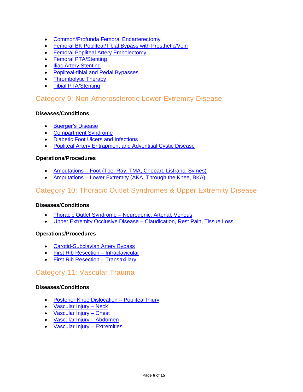- [Common/Profunda Femoral Endarterectomy](http://www.surgicalcore.org/modulecontent.aspx?id=1000670)
- **[Femoral BK Popliteal/Tibial Bypass with Prosthetic/Vein](http://www.surgicalcore.org/modulecontent.aspx?id=1000236)**
- [Femoral Popliteal Artery Embolectomy](http://www.surgicalcore.org/modulecontent.aspx?id=1000219)
- [Femoral PTA/Stenting](http://www.surgicalcore.org/modulecontent.aspx?id=1000429)
- **[Iliac Artery Stenting](http://www.surgicalcore.org/modulecontent.aspx?id=1000227)**
- [Popliteal-tibial and Pedal Bypasses](http://www.surgicalcore.org/modulecontent.aspx?id=1000202)
- [Thrombolytic Therapy](http://www.surgicalcore.org/modulecontent.aspx?id=1000448)
- [Tibial PTA/Stenting](http://www.surgicalcore.org/modulecontent.aspx?id=1000243)

## <span id="page-5-0"></span>Category 9: Non-Atherosclerotic Lower Extremity Disease

#### **Diseases/Conditions**

- [Buerger's Disease](http://www.surgicalcore.org/modulecontent.aspx?id=1000654)
- [Compartment Syndrome](http://www.surgicalcore.org/modulecontent.aspx?id=1000630)
- [Diabetic Foot Ulcers and Infections](http://www.surgicalcore.org/modulecontent.aspx?id=1000190)
- [Popliteal Artery Entrapment and Adventitial Cystic Disease](http://www.surgicalcore.org/modulecontent.aspx?id=1000427)

#### **Operations/Procedures**

- Amputations [Foot \(Toe, Ray, TMA, Chopart, Lisfranc, Symes\)](http://www.surgicalcore.org/modulecontent.aspx?id=1000629)
- Amputations [Lower Extremity \(AKA, Through the Knee, BKA\)](http://www.surgicalcore.org/modulecontent.aspx?id=1000628)

## <span id="page-5-1"></span>Category 10: Thoracic Outlet Syndromes & Upper Extremity Disease

#### **Diseases/Conditions**

- Thoracic Outlet Syndrome [Neurogenic, Arterial, Venous](http://www.surgicalcore.org/modulecontent.aspx?id=1000425)
- [Upper Extremity Occlusive Disease –](http://www.surgicalcore.org/modulecontent.aspx?id=1000663) Claudication, Rest Pain, Tissue Loss

#### **Operations/Procedures**

- [Carotid-Subclavian](http://www.surgicalcore.org/modulecontent.aspx?id=1000191) Artery Bypass
- [First Rib Resection –](http://www.surgicalcore.org/modulecontent.aspx?id=264277) Infraclavicular
- [First Rib Resection –](http://www.surgicalcore.org/modulecontent.aspx?id=1000186) Transaxillary

## <span id="page-5-2"></span>Category 11: Vascular Trauma

#### **Diseases/Conditions**

- [Posterior Knee Dislocation](http://www.surgicalcore.org/modulecontent.aspx?id=1000157) Popliteal Injury
- [Vascular Injury –](http://www.surgicalcore.org/modulecontent.aspx?id=1000631) Neck
- [Vascular Injury –](http://www.surgicalcore.org/modulecontent.aspx?id=1000696) Chest
- [Vascular Injury –](http://www.surgicalcore.org/modulecontent.aspx?id=1000632) Abdomen
- [Vascular Injury –](http://www.surgicalcore.org/modulecontent.aspx?id=1000650) Extremities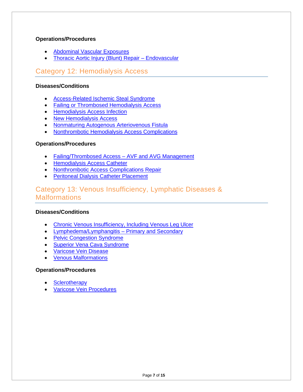#### **Operations/Procedures**

- [Abdominal Vascular Exposures](http://www.surgicalcore.org/modulecontent.aspx?id=1000685)
- [Thoracic Aortic Injury \(Blunt\) Repair –](http://www.surgicalcore.org/modulecontent.aspx?id=1000195) Endovascular

## <span id="page-6-0"></span>Category 12: Hemodialysis Access

#### **Diseases/Conditions**

- [Access-Related Ischemic Steal Syndrome](http://www.surgicalcore.org/modulecontent.aspx?id=1000203)
- [Failing or Thrombosed Hemodialysis Access](http://www.surgicalcore.org/modulecontent.aspx?id=1000655)
- [Hemodialysis Access Infection](http://www.surgicalcore.org/modulecontent.aspx?id=1000634)
- [New Hemodialysis Access](http://www.surgicalcore.org/modulecontent.aspx?id=1000633)
- [Nonmaturing Autogenous Arteriovenous Fistula](http://www.surgicalcore.org/modulecontent.aspx?id=1000635)
- [Nonthrombotic Hemodialysis Access Complications](http://www.surgicalcore.org/modulecontent.aspx?id=1000767)

#### **Operations/Procedures**

- [Failing/Thrombosed Access –](http://www.surgicalcore.org/modulecontent.aspx?id=1000702) AVF and AVG Management
- [Hemodialysis Access Catheter](http://www.surgicalcore.org/modulecontent.aspx?id=1000320)
- [Nonthrombotic Access Complications](http://www.surgicalcore.org/modulecontent.aspx?id=1000704) Repair
- [Peritoneal Dialysis Catheter Placement](http://www.surgicalcore.org/modulecontent.aspx?id=1000646)

## <span id="page-6-1"></span>Category 13: Venous Insufficiency, Lymphatic Diseases & Malformations

#### **Diseases/Conditions**

- [Chronic Venous Insufficiency, Including Venous Leg Ulcer](http://www.surgicalcore.org/modulecontent.aspx?id=1000149)
- [Lymphedema/Lymphangitis –](http://www.surgicalcore.org/modulecontent.aspx?id=1000665) Primary and Secondary
- [Pelvic Congestion Syndrome](http://www.surgicalcore.org/modulecontent.aspx?id=1000675)
- [Superior Vena Cava Syndrome](http://www.surgicalcore.org/modulecontent.aspx?id=1000636)
- [Varicose Vein Disease](http://www.surgicalcore.org/modulecontent.aspx?id=1000158)
- [Venous Malformations](http://www.surgicalcore.org/modulecontent.aspx?id=1000656)

#### **Operations/Procedures**

- **[Sclerotherapy](http://www.surgicalcore.org/modulecontent.aspx?id=1000687)**
- [Varicose Vein Procedures](http://www.surgicalcore.org/modulecontent.aspx?id=1000647)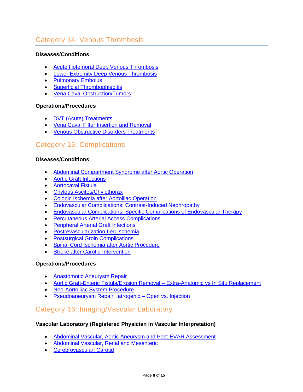## <span id="page-7-0"></span>Category 14: Venous Thrombosis

#### **Diseases/Conditions**

- [Acute Iliofemoral Deep Venous Thrombosis](http://www.surgicalcore.org/modulecontent.aspx?id=1000677)
- [Lower Extremity Deep Venous Thrombosis](http://www.surgicalcore.org/modulecontent.aspx?id=1000682)
- [Pulmonary Embolus](http://www.surgicalcore.org/modulecontent.aspx?id=1000643)
- [Superficial Thrombophlebitis](http://www.surgicalcore.org/modulecontent.aspx?id=1000676)
- [Vena Caval Obstruction/Tumors](http://www.surgicalcore.org/modulecontent.aspx?id=1000648)

#### **Operations/Procedures**

- [DVT \(Acute\) Treatments](http://www.surgicalcore.org/modulecontent.aspx?id=1000432)
- [Vena Caval Filter Insertion and Removal](http://www.surgicalcore.org/modulecontent.aspx?id=1000437)
- [Venous Obstructive Disorders Treatments](http://www.surgicalcore.org/modulecontent.aspx?id=1000447)

## <span id="page-7-1"></span>Category 15: Complications

#### **Diseases/Conditions**

- [Abdominal Compartment Syndrome after Aortic Operation](http://www.surgicalcore.org/modulecontent.aspx?id=1000686)
- [Aortic Graft Infections](http://www.surgicalcore.org/modulecontent.aspx?id=1000246)
- [Aortocaval Fistula](http://www.surgicalcore.org/modulecontent.aspx?id=1000234)
- [Chylous Ascites/Chylothorax](http://www.surgicalcore.org/modulecontent.aspx?id=1000649)
- [Colonic Ischemia after Aortoiliac Operation](http://www.surgicalcore.org/modulecontent.aspx?id=1000680)
- [Endovascular Complications: Contrast-Induced Nephropathy](http://www.surgicalcore.org/modulecontent.aspx?id=1000438)
- [Endovascular Complications: Specific Complications of Endovascular Therapy](http://www.surgicalcore.org/modulecontent.aspx?id=1000314)
- [Percutaneous Arterial Access Complications](http://www.surgicalcore.org/modulecontent.aspx?id=1000658)
- [Peripheral Arterial Graft Infections](http://www.surgicalcore.org/modulecontent.aspx?id=1000237)
- [Postrevascularization Leg Ischemia](http://www.surgicalcore.org/modulecontent.aspx?id=1000637)
- **[Postsurgical Groin Complications](http://www.surgicalcore.org/modulecontent.aspx?id=1000666)**
- [Spinal Cord Ischemia after Aortic Procedure](http://www.surgicalcore.org/modulecontent.aspx?id=1000657)
- **[Stroke after Carotid](http://www.surgicalcore.org/modulecontent.aspx?id=1000644) Intervention**

#### **Operations/Procedures**

- [Anastomotic Aneurysm Repair](http://www.surgicalcore.org/modulecontent.aspx?id=1000640)
- [Aortic Graft-Enteric Fistula/Erosion Removal –](http://www.surgicalcore.org/modulecontent.aspx?id=1000433) Extra-Anatomic vs In Situ Replacement
- [Neo-Aortoiliac System Procedure](http://www.surgicalcore.org/modulecontent.aspx?id=1000228)
- Pseudoaneurysm Repair, latrogenic Open vs. Injection

## <span id="page-7-2"></span>Category 16: Imaging/Vascular Laboratory

#### **Vascular Laboratory (Registered Physician in Vascular Interpretation)**

- [Abdominal Vascular, Aortic Aneurysm and Post-EVAR](http://www.surgicalcore.org/modulecontent.aspx?id=1000679) Assessment
- [Abdominal Vascular, Renal and Mesenteric](http://www.surgicalcore.org/modulecontent.aspx?id=1000688)
- [Cerebrovascular, Carotid](http://www.surgicalcore.org/modulecontent.aspx?id=1000660)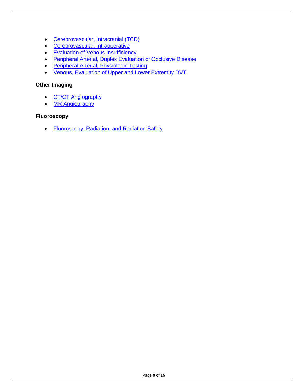- [Cerebrovascular, Intracranial \(TCD\)](http://www.surgicalcore.org/modulecontent.aspx?id=1000669)
- [Cerebrovascular, Intraoperative](http://www.surgicalcore.org/modulecontent.aspx?id=1000642)
- [Evaluation of Venous Insufficiency](http://www.surgicalcore.org/modulecontent.aspx?id=1000678)
- [Peripheral Arterial, Duplex Evaluation of Occlusive Disease](http://www.surgicalcore.org/modulecontent.aspx?id=1000659)
- [Peripheral Arterial, Physiologic Testing](http://www.surgicalcore.org/modulecontent.aspx?id=1000641)
- [Venous, Evaluation of Upper and Lower Extremity DVT](http://www.surgicalcore.org/modulecontent.aspx?id=1000698)

#### **Other Imaging**

- CT/CT [Angiography](http://www.surgicalcore.org/modulecontent.aspx?id=1000700)
- MR [Angiography](http://www.surgicalcore.org/modulecontent.aspx?id=1000697)

#### **Fluoroscopy**

• [Fluoroscopy, Radiation, and Radiation Safety](http://www.surgicalcore.org/modulecontent.aspx?id=1000313)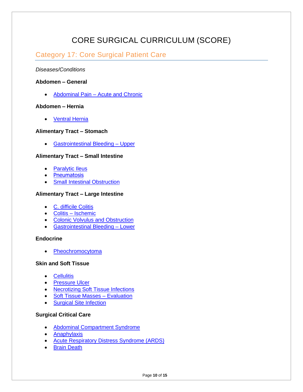## CORE SURGICAL CURRICULUM (SCORE)

## <span id="page-9-1"></span><span id="page-9-0"></span>Category 17: Core Surgical Patient Care

#### *Diseases/Conditions*

#### **Abdomen – General**

• Abdominal Pain – [Acute and Chronic](http://www.surgicalcore.org/modulecontent.aspx?id=1000515)

#### **Abdomen – Hernia**

• [Ventral Hernia](http://www.surgicalcore.org/modulecontent.aspx?id=126211)

#### **Alimentary Tract – Stomach**

• [Gastrointestinal Bleeding –](http://www.surgicalcore.org/modulecontent.aspx?id=1000490) Upper

#### **Alimentary Tract – Small Intestine**

- [Paralytic Ileus](http://www.surgicalcore.org/modulecontent.aspx?id=167603)
- [Pneumatosis](https://www.surgicalcore.org/modulecontent.aspx?id=137469)
- [Small Intestinal Obstruction](http://www.surgicalcore.org/modulecontent.aspx?id=1000525)

#### **Alimentary Tract – Large Intestine**

- [C. difficile Colitis](http://www.surgicalcore.org/modulecontent.aspx?id=136870)
- Colitis [Ischemic](http://www.surgicalcore.org/modulecontent.aspx?id=136797)
- [Colonic Volvulus and Obstruction](http://www.surgicalcore.org/modulecontent.aspx?id=1000567)
- [Gastrointestinal Bleeding –](http://www.surgicalcore.org/modulecontent.aspx?id=128753) Lower

#### **Endocrine**

• [Pheochromocytoma](http://www.surgicalcore.org/modulecontent.aspx?id=147187)

#### **Skin and Soft Tissue**

- [Cellulitis](http://www.surgicalcore.org/modulecontent.aspx?id=139953)
- [Pressure Ulcer](http://www.surgicalcore.org/modulecontent.aspx?id=159798)
- [Necrotizing Soft Tissue Infections](http://www.surgicalcore.org/modulecontent.aspx?id=140003)
- [Soft Tissue Masses –](http://www.surgicalcore.org/modulecontent.aspx?id=139636) Evaluation
- [Surgical Site Infection](http://www.surgicalcore.org/modulecontent.aspx?id=140144)

#### **Surgical Critical Care**

- [Abdominal Compartment Syndrome](http://www.surgicalcore.org/modulecontent.aspx?id=168371)
- [Anaphylaxis](http://www.surgicalcore.org/modulecontent.aspx?id=140999)
- [Acute Respiratory Distress Syndrome \(ARDS\)](http://www.surgicalcore.org/modulecontent.aspx?id=1000508)
- [Brain Death](http://www.surgicalcore.org/modulecontent.aspx?id=168546)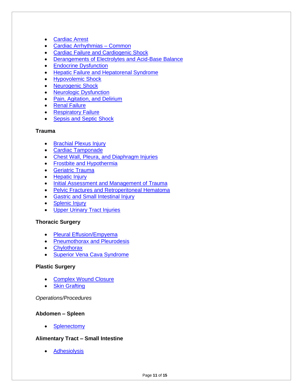- [Cardiac Arrest](http://www.surgicalcore.org/modulecontent.aspx?id=1000513)
- Cardiac Arrhythmias Common
- Cardiac Failure [and Cardiogenic Shock](http://www.surgicalcore.org/modulecontent.aspx?id=1000532)
- [Derangements of Electrolytes and Acid-Base Balance](http://www.surgicalcore.org/modulecontent.aspx?id=140947)
- [Endocrine Dysfunction](http://www.surgicalcore.org/modulecontent.aspx?id=140885)
- [Hepatic Failure and Hepatorenal Syndrome](http://www.surgicalcore.org/modulecontent.aspx?id=164515)
- [Hypovolemic Shock](http://www.surgicalcore.org/modulecontent.aspx?id=140212)
- [Neurogenic Shock](http://www.surgicalcore.org/modulecontent.aspx?id=140402)
- [Neurologic Dysfunction](http://www.surgicalcore.org/modulecontent.aspx?id=140833)
- [Pain, Agitation, and Delirium](http://www.surgicalcore.org/modulecontent.aspx?id=153388)
- [Renal Failure](http://www.surgicalcore.org/modulecontent.aspx?id=140716)
- **[Respiratory Failure](http://www.surgicalcore.org/modulecontent.aspx?id=1000509)**
- [Sepsis and Septic Shock](http://www.surgicalcore.org/modulecontent.aspx?id=1000511)

#### **Trauma**

- [Brachial Plexus Injury](http://www.surgicalcore.org/modulecontent.aspx?id=1000153)
- [Cardiac Tamponade](https://www.surgicalcore.org/modulecontent.aspx?id=142220)
- [Chest Wall, Pleura, and Diaphragm Injuries](http://www.surgicalcore.org/modulecontent.aspx?id=1000470)
- [Frostbite and Hypothermia](http://www.surgicalcore.org/modulecontent.aspx?id=147972)
- [Geriatric Trauma](http://www.surgicalcore.org/modulecontent.aspx?id=143218)
- [Hepatic Injury](http://www.surgicalcore.org/modulecontent.aspx?id=133048)
- [Initial Assessment and Management of Trauma](http://www.surgicalcore.org/modulecontent.aspx?id=1000540)
- [Pelvic Fractures and Retroperitoneal Hematoma](http://www.surgicalcore.org/modulecontent.aspx?id=1000542)
- [Gastric and Small Intestinal Injury](http://www.surgicalcore.org/modulecontent.aspx?id=1000469)
- [Splenic Injury](http://www.surgicalcore.org/modulecontent.aspx?id=132969)
- [Upper Urinary Tract Injuries](http://www.surgicalcore.org/modulecontent.aspx?id=1000562)

#### **Thoracic Surgery**

- [Pleural Effusion/Empyema](http://www.surgicalcore.org/modulecontent.aspx?id=141219)
- [Pneumothorax and Pleurodesis](http://www.surgicalcore.org/modulecontent.aspx?id=1000495)
- [Chylothorax](http://www.surgicalcore.org/modulecontent.aspx?id=1000144)
- [Superior Vena Cava Syndrome](http://www.surgicalcore.org/modulecontent.aspx?id=166342)

#### **Plastic Surgery**

- [Complex Wound Closure](http://www.surgicalcore.org/modulecontent.aspx?id=168852)
- **[Skin Grafting](http://www.surgicalcore.org/modulecontent.aspx?id=134236)**

#### *Operations/Procedures*

#### **Abdomen – Spleen**

**[Splenectomy](http://www.surgicalcore.org/modulecontent.aspx?id=127529)** 

#### **Alimentary Tract – Small Intestine**

• [Adhesiolysis](http://www.surgicalcore.org/modulecontent.aspx?id=128454)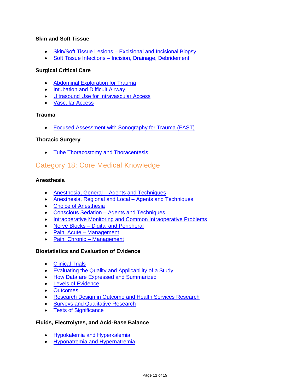#### **Skin and Soft Tissue**

- Skin/Soft Tissue Lesions [Excisional and Incisional Biopsy](http://www.surgicalcore.org/modulecontent.aspx?id=132645)
- Soft Tissue Infections [Incision, Drainage, Debridement](http://www.surgicalcore.org/modulecontent.aspx?id=132697)

#### **Surgical Critical Care**

- [Abdominal Exploration for Trauma](http://www.surgicalcore.org/modulecontent.aspx?id=1000552)
- [Intubation and Difficult Airway](http://www.surgicalcore.org/modulecontent.aspx?id=1000498)
- [Ultrasound Use for Intravascular Access](http://www.surgicalcore.org/modulecontent.aspx?id=163873)
- [Vascular Access](http://www.surgicalcore.org/modulecontent.aspx?id=1000512)

#### **Trauma**

• [Focused Assessment with Sonography for Trauma \(FAST\)](http://www.surgicalcore.org/modulecontent.aspx?id=168489)

#### **Thoracic Surgery**

• [Tube Thoracostomy and Thoracentesis](http://www.surgicalcore.org/modulecontent.aspx?id=1000528)

## <span id="page-11-0"></span>Category 18: Core Medical Knowledge

#### **Anesthesia**

- Anesthesia, General [Agents and Techniques](http://www.surgicalcore.org/modulecontent.aspx?id=152348)
- [Anesthesia, Regional and Local –](http://www.surgicalcore.org/modulecontent.aspx?id=152408) Agents and Techniques
- [Choice of Anesthesia](http://www.surgicalcore.org/modulecontent.aspx?id=152224)
- Conscious Sedation [Agents and Techniques](http://www.surgicalcore.org/modulecontent.aspx?id=152285)
- [Intraoperative Monitoring and Common Intraoperative Problems](http://www.surgicalcore.org/modulecontent.aspx?id=152473)
- Nerve Blocks [Digital and Peripheral](http://www.surgicalcore.org/modulecontent.aspx?id=1000561)
- [Pain, Acute –](http://www.surgicalcore.org/modulecontent.aspx?id=139009) Management
- [Pain, Chronic –](http://www.surgicalcore.org/modulecontent.aspx?id=167114) Management

#### **Biostatistics and Evaluation of Evidence**

- [Clinical Trials](http://www.surgicalcore.org/modulecontent.aspx?id=169345)
- [Evaluating the Quality and Applicability of a Study](http://www.surgicalcore.org/modulecontent.aspx?id=169155)
- How Data are [Expressed and Summarized](http://www.surgicalcore.org/modulecontent.aspx?id=169033)
- [Levels of Evidence](http://www.surgicalcore.org/modulecontent.aspx?id=169225)
- [Outcomes](http://www.surgicalcore.org/modulecontent.aspx?id=169536)
- [Research Design in Outcome and Health Services Research](http://www.surgicalcore.org/modulecontent.aspx?id=168976)
- **[Surveys and Qualitative Research](http://www.surgicalcore.org/modulecontent.aspx?id=152604)**
- **[Tests of Significance](http://www.surgicalcore.org/modulecontent.aspx?id=169108)**

#### **Fluids, Electrolytes, and Acid-Base Balance**

- [Hypokalemia and Hyperkalemia](http://www.surgicalcore.org/modulecontent.aspx?id=152825)
- [Hyponatremia and Hypernatremia](http://www.surgicalcore.org/modulecontent.aspx?id=152782)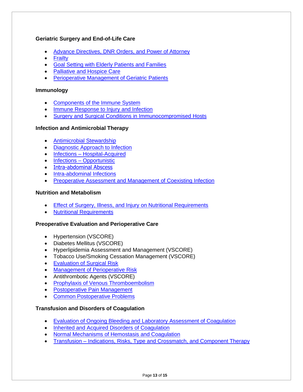#### **Geriatric Surgery and End-of-Life Care**

- [Advance Directives, DNR Orders, and Power of Attorney](http://www.surgicalcore.org/modulecontent.aspx?id=153229)
- [Frailty](http://www.surgicalcore.org/modulecontent.aspx?id=1000505)
- [Goal Setting with Elderly Patients and Families](http://www.surgicalcore.org/modulecontent.aspx?id=153166)
- [Palliative and Hospice Care](http://www.surgicalcore.org/modulecontent.aspx?id=153305)
- [Perioperative Management of Geriatric Patients](http://www.surgicalcore.org/modulecontent.aspx?id=1000506)

#### **Immunology**

- [Components of the Immune System](http://www.surgicalcore.org/modulecontent.aspx?id=153515)
- **[Immune Response to Injury and Infection](http://www.surgicalcore.org/modulecontent.aspx?id=153568)**
- [Surgery and Surgical Conditions in Immunocompromised Hosts](http://www.surgicalcore.org/modulecontent.aspx?id=153660)

#### **Infection and Antimicrobial Therapy**

- [Antimicrobial Stewardship](http://www.surgicalcore.org/modulecontent.aspx?id=1000544)
- [Diagnostic Approach to Infection](http://www.surgicalcore.org/modulecontent.aspx?id=1000545)
- Infections [Hospital-Acquired](http://www.surgicalcore.org/modulecontent.aspx?id=1000497)
- Infections [Opportunistic](http://www.surgicalcore.org/modulecontent.aspx?id=163724)
- [Intra-abdominal Abscess](https://www.surgicalcore.org/modulecontent.aspx?id=135027)
- [Intra-abdominal Infections](http://www.surgicalcore.org/modulecontent.aspx?id=1000242)
- **[Preoperative Assessment and Management of](http://www.surgicalcore.org/modulecontent.aspx?id=155849) Coexisting Infection**

#### **Nutrition and Metabolism**

- [Effect of Surgery, Illness, and Injury on Nutritional Requirements](http://www.surgicalcore.org/modulecontent.aspx?id=154567)
- [Nutritional Requirements](http://www.surgicalcore.org/modulecontent.aspx?id=154503)

#### **Preoperative Evaluation and Perioperative Care**

- Hypertension (VSCORE)
- Diabetes Mellitus (VSCORE)
- Hyperlipidemia Assessment and Management (VSCORE)
- Tobacco Use/Smoking Cessation Management (VSCORE)
- [Evaluation of Surgical Risk](http://www.surgicalcore.org/modulecontent.aspx?id=1000484)
- [Management of Perioperative Risk](http://www.surgicalcore.org/modulecontent.aspx?id=1000485)
- Antithrombotic Agents (VSCORE)
- [Prophylaxis of Venous Thromboembolism](http://www.surgicalcore.org/modulecontent.aspx?id=155978)
- [Postoperative Pain Management](http://www.surgicalcore.org/modulecontent.aspx?id=152540)
- **[Common Postoperative Problems](http://www.surgicalcore.org/modulecontent.aspx?id=156100)**

#### **Transfusion and Disorders of Coagulation**

- [Evaluation of Ongoing Bleeding and Laboratory Assessment of Coagulation](http://www.surgicalcore.org/modulecontent.aspx?id=156285)
- [Inherited and Acquired Disorders of Coagulation](http://www.surgicalcore.org/modulecontent.aspx?id=156223)
- [Normal Mechanisms of Hemostasis](http://www.surgicalcore.org/modulecontent.aspx?id=156169) and Coagulation
- Transfusion [Indications, Risks, Type and Crossmatch, and Component Therapy](http://www.surgicalcore.org/modulecontent.aspx?id=156349)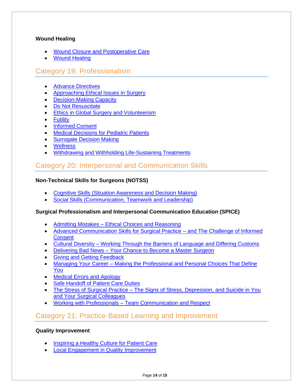#### **Wound Healing**

- [Wound Closure and Postoperative Care](http://www.surgicalcore.org/modulecontent.aspx?id=1000473)
- **[Wound Healing](http://www.surgicalcore.org/modulecontent.aspx?id=1000474)**

## <span id="page-13-0"></span>Category 19: Professionalism

- [Advance Directives](https://www.surgicalcore.org/modulecontent.aspx?id=1000776)
- [Approaching Ethical Issues in Surgery](https://www.surgicalcore.org/modulecontent.aspx?id=1000773)
- [Decision-Making Capacity](https://www.surgicalcore.org/modulecontent.aspx?id=1000780)
- [Do Not Resuscitate](https://www.surgicalcore.org/modulecontent.aspx?id=1000779)
- [Ethics in Global Surgery and Volunteerism](https://www.surgicalcore.org/modulecontent.aspx?id=1000782)
- [Futility](https://www.surgicalcore.org/modulecontent.aspx?id=1000777)
- [Informed Consent](https://www.surgicalcore.org/modulecontent.aspx?id=1000774)
- **[Medical Decisions for Pediatric Patients](https://www.surgicalcore.org/modulecontent.aspx?id=1000781)**
- [Surrogate Decision Making](https://www.surgicalcore.org/modulecontent.aspx?id=1000775)
- [Wellness](https://www.surgicalcore.org/modulecontent.aspx?id=1000811)
- [Withdrawing and Withholding Life-Sustaining Treatments](https://www.surgicalcore.org/modulecontent.aspx?id=1000778)

## <span id="page-13-1"></span>Category 20: Interpersonal and Communication Skills

#### **Non-Technical Skills for Surgeons (NOTSS)**

- [Cognitive Skills \(Situation Awareness and Decision Making\)](http://www.surgicalcore.org/modulecontent.aspx?id=266879)
- [Social Skills \(Communication, Teamwork and Leadership\)](http://www.surgicalcore.org/modulecontent.aspx?id=266836)

#### **Surgical Professionalism and Interpersonal Communication Education (SPICE)**

- Admitting Mistakes [Ethical Choices and Reasoning](http://www.surgicalcore.org/modulecontent.aspx?id=1000794)
- [Advanced Communication Skills for Surgical Practice –](http://www.surgicalcore.org/modulecontent.aspx?id=1000793) and The Challenge of Informed **[Consent](http://www.surgicalcore.org/modulecontent.aspx?id=1000793)**
- Cultural Diversity [Working Through the Barriers of Language and Differing Customs](http://www.surgicalcore.org/modulecontent.aspx?id=1000797)
- Delivering Bad News [Your Chance to Become a Master Surgeon](http://www.surgicalcore.org/modulecontent.aspx?id=1000795)
- [Giving and Getting Feedback](http://www.surgicalcore.org/modulecontent.aspx?id=267954)
- Managing Your Career [Making the Professional and Personal Choices That Define](http://www.surgicalcore.org/modulecontent.aspx?id=1000799) [You](http://www.surgicalcore.org/modulecontent.aspx?id=1000799)
- [Medical Errors and Apology](http://www.surgicalcore.org/modulecontent.aspx?id=267870)
- **[Safe Handoff of Patient Care Duties](http://www.surgicalcore.org/modulecontent.aspx?id=268065)**
- The Stress of Surgical Practice [The Signs of Stress, Depression, and Suicide in You](http://www.surgicalcore.org/modulecontent.aspx?id=1000798)  [and Your Surgical Colleagues](http://www.surgicalcore.org/modulecontent.aspx?id=1000798)
- Working with Professionals [Team Communication and Respect](http://www.surgicalcore.org/modulecontent.aspx?id=1000796)

## <span id="page-13-2"></span>Category 21: Practice-Based Learning and Improvement

#### **Quality Improvement**

- [Inspiring a Healthy Culture for Patient Care](http://www.surgicalcore.org/modulecontent.aspx?id=267674)
- [Local Engagement in Quality Improvement](http://www.surgicalcore.org/modulecontent.aspx?id=267777)